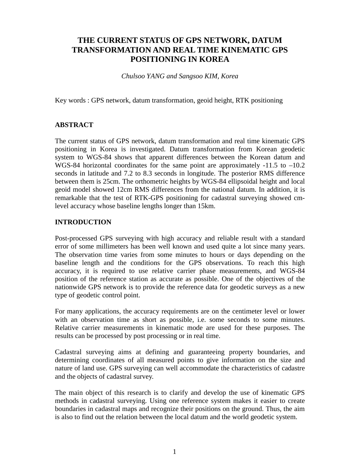# **THE CURRENT STATUS OF GPS NETWORK, DATUM TRANSFORMATION AND REAL TIME KINEMATIC GPS POSITIONING IN KOREA**

*Chulsoo YANG and Sangsoo KIM, Korea*

Key words : GPS network, datum transformation, geoid height, RTK positioning

# **ABSTRACT**

The current status of GPS network, datum transformation and real time kinematic GPS positioning in Korea is investigated. Datum transformation from Korean geodetic system to WGS-84 shows that apparent differences between the Korean datum and WGS-84 horizontal coordinates for the same point are approximately -11.5 to -10.2 seconds in latitude and 7.2 to 8.3 seconds in longitude. The posterior RMS difference between them is 25cm. The orthometric heights by WGS-84 ellipsoidal height and local geoid model showed 12cm RMS differences from the national datum. In addition, it is remarkable that the test of RTK-GPS positioning for cadastral surveying showed cmlevel accuracy whose baseline lengths longer than 15km.

#### **INTRODUCTION**

Post-processed GPS surveying with high accuracy and reliable result with a standard error of some millimeters has been well known and used quite a lot since many years. The observation time varies from some minutes to hours or days depending on the baseline length and the conditions for the GPS observations. To reach this high accuracy, it is required to use relative carrier phase measurements, and WGS-84 position of the reference station as accurate as possible. One of the objectives of the nationwide GPS network is to provide the reference data for geodetic surveys as a new type of geodetic control point.

For many applications, the accuracy requirements are on the centimeter level or lower with an observation time as short as possible, i.e. some seconds to some minutes. Relative carrier measurements in kinematic mode are used for these purposes. The results can be processed by post processing or in real time.

Cadastral surveying aims at defining and guaranteeing property boundaries, and determining coordinates of all measured points to give information on the size and nature of land use. GPS surveying can well accommodate the characteristics of cadastre and the objects of cadastral survey.

The main object of this research is to clarify and develop the use of kinematic GPS methods in cadastral surveying. Using one reference system makes it easier to create boundaries in cadastral maps and recognize their positions on the ground. Thus, the aim is also to find out the relation between the local datum and the world geodetic system.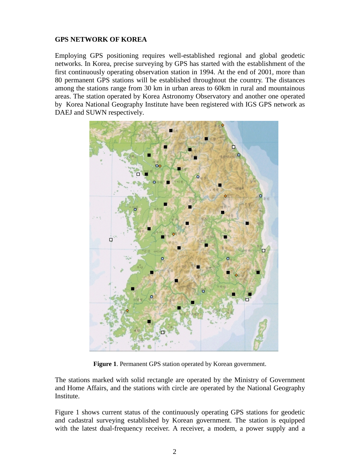## **GPS NETWORK OF KOREA**

Employing GPS positioning requires well-established regional and global geodetic networks. In Korea, precise surveying by GPS has started with the establishment of the first continuously operating observation station in 1994. At the end of 2001, more than 80 permanent GPS stations will be established throughtout the country. The distances among the stations range from 30 km in urban areas to 60km in rural and mountainous areas. The station operated by Korea Astronomy Observatory and another one operated by Korea National Geography Institute have been registered with IGS GPS network as DAEJ and SUWN respectively.



**Figure 1**. Permanent GPS station operated by Korean government.

The stations marked with solid rectangle are operated by the Ministry of Government and Home Affairs, and the stations with circle are operated by the National Geography Institute.

Figure 1 shows current status of the continuously operating GPS stations for geodetic and cadastral surveying established by Korean government. The station is equipped with the latest dual-frequency receiver. A receiver, a modem, a power supply and a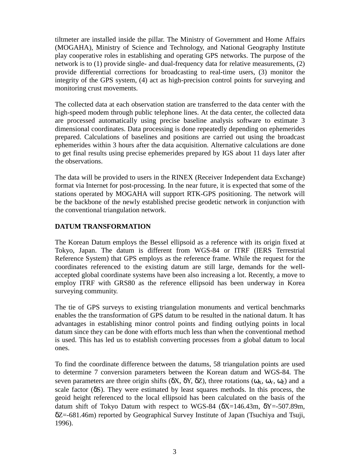tiltmeter are installed inside the pillar. The Ministry of Government and Home Affairs (MOGAHA), Ministry of Science and Technology, and National Geography Institute play cooperative roles in establishing and operating GPS networks. The purpose of the network is to (1) provide single- and dual-frequency data for relative measurements, (2) provide differential corrections for broadcasting to real-time users, (3) monitor the integrity of the GPS system, (4) act as high-precision control points for surveying and monitoring crust movements.

The collected data at each observation station are transferred to the data center with the high-speed modem through public telephone lines. At the data center, the collected data are processed automatically using precise baseline analysis software to estimate 3 dimensional coordinates. Data processing is done repeatedly depending on ephemerides prepared. Calculations of baselines and positions are carried out using the broadcast ephemerides within 3 hours after the data acquisition. Alternative calculations are done to get final results using precise ephemerides prepared by IGS about 11 days later after the observations.

The data will be provided to users in the RINEX (Receiver Independent data Exchange) format via Internet for post-processing. In the near future, it is expected that some of the stations operated by MOGAHA will support RTK-GPS positioning. The network will be the backbone of the newly established precise geodetic network in conjunction with the conventional triangulation network.

# **DATUM TRANSFORMATION**

The Korean Datum employs the Bessel ellipsoid as a reference with its origin fixed at Tokyo, Japan. The datum is different from WGS-84 or ITRF (IERS Terrestrial Reference System) that GPS employs as the reference frame. While the request for the coordinates referenced to the existing datum are still large, demands for the wellaccepted global coordinate systems have been also increasing a lot. Recently, a move to employ ITRF with GRS80 as the reference ellipsoid has been underway in Korea surveying community.

The tie of GPS surveys to existing triangulation monuments and vertical benchmarks enables the the transformation of GPS datum to be resulted in the national datum. It has advantages in establishing minor control points and finding outlying points in local datum since they can be done with efforts much less than when the conventional method is used. This has led us to establish converting processes from a global datum to local ones.

To find the coordinate difference between the datums, 58 triangulation points are used to determine 7 conversion parameters between the Korean datum and WGS-84. The seven parameters are three origin shifts ( $\delta X$ ,  $\delta Y$ ,  $\delta Z$ ), three rotations ( $\omega_X$ ,  $\omega_Y$ ,  $\omega_Z$ ) and a scale factor  $(\delta S)$ . They were estimated by least squares methods. In this process, the geoid height referenced to the local ellipsoid has been calculated on the basis of the datum shift of Tokyo Datum with respect to WGS-84 ( $\delta X = 146.43$ m,  $\delta Y = -507.89$ m, δZ=-681.46m) reported by Geographical Survey Institute of Japan (Tsuchiya and Tsuji, 1996).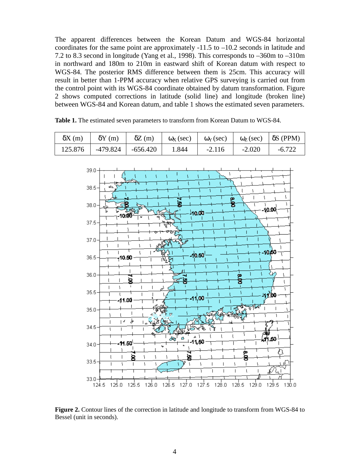The apparent differences between the Korean Datum and WGS-84 horizontal coordinates for the same point are approximately -11.5 to –10.2 seconds in latitude and 7.2 to 8.3 second in longitude (Yang et al., 1998). This corresponds to –360m to –310m in northward and 180m to 210m in eastward shift of Korean datum with respect to WGS-84. The posterior RMS difference between them is 25cm. This accuracy will result in better than 1-PPM accuracy when relative GPS surveying is carried out from the control point with its WGS-84 coordinate obtained by datum transformation. Figure 2 shows computed corrections in latitude (solid line) and longitude (broken line) between WGS-84 and Korean datum, and table 1 shows the estimated seven parameters.

| $\delta X(m)$ |                     | $\delta Y$ (m) $\delta Z$ (m) $\omega_X$ (sec) $\omega_Y$ (sec) $\omega_Z$ (sec) $\delta S$ (PPM) |       |          |          |          |
|---------------|---------------------|---------------------------------------------------------------------------------------------------|-------|----------|----------|----------|
| 125.876       | -479.824   -656.420 |                                                                                                   | 1.844 | $-2.116$ | $-2.020$ | $-6.722$ |

**Table 1.** The estimated seven parameters to transform from Korean Datum to WGS-84.



**Figure 2.** Contour lines of the correction in latitude and longitude to transform from WGS-84 to Bessel (unit in seconds).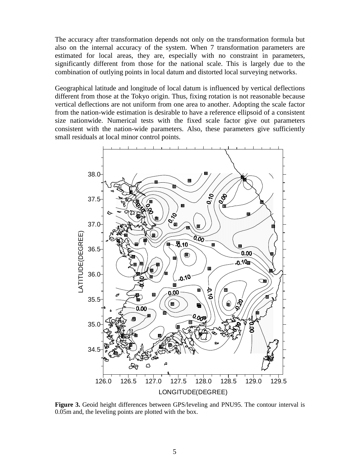The accuracy after transformation depends not only on the transformation formula but also on the internal accuracy of the system. When 7 transformation parameters are estimated for local areas, they are, especially with no constraint in parameters, significantly different from those for the national scale. This is largely due to the combination of outlying points in local datum and distorted local surveying networks.

Geographical latitude and longitude of local datum is influenced by vertical deflections different from those at the Tokyo origin. Thus, fixing rotation is not reasonable because vertical deflections are not uniform from one area to another. Adopting the scale factor from the nation-wide estimation is desirable to have a reference ellipsoid of a consistent size nationwide. Numerical tests with the fixed scale factor give out parameters consistent with the nation-wide parameters. Also, these parameters give sufficiently small residuals at local minor control points.



**Figure 3.** Geoid height differences between GPS/leveling and PNU95. The contour interval is 0.05m and, the leveling points are plotted with the box.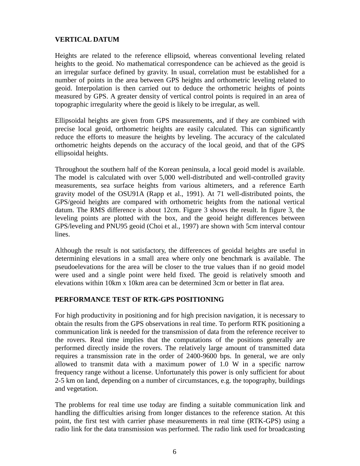## **VERTICAL DATUM**

Heights are related to the reference ellipsoid, whereas conventional leveling related heights to the geoid. No mathematical correspondence can be achieved as the geoid is an irregular surface defined by gravity. In usual, correlation must be established for a number of points in the area between GPS heights and orthometric leveling related to geoid. Interpolation is then carried out to deduce the orthometric heights of points measured by GPS. A greater density of vertical control points is required in an area of topographic irregularity where the geoid is likely to be irregular, as well.

Ellipsoidal heights are given from GPS measurements, and if they are combined with precise local geoid, orthometric heights are easily calculated. This can significantly reduce the efforts to measure the heights by leveling. The accuracy of the calculated orthometric heights depends on the accuracy of the local geoid, and that of the GPS ellipsoidal heights.

Throughout the southern half of the Korean peninsula, a local geoid model is available. The model is calculated with over 5,000 well-distributed and well-controlled gravity measurements, sea surface heights from various altimeters, and a reference Earth gravity model of the OSU91A (Rapp et al., 1991). At 71 well-distributed points, the GPS/geoid heights are compared with orthometric heights from the national vertical datum. The RMS difference is about 12cm. Figure 3 shows the result. In figure 3, the leveling points are plotted with the box, and the geoid height differences between GPS/leveling and PNU95 geoid (Choi et al., 1997) are shown with 5cm interval contour lines.

Although the result is not satisfactory, the differences of geoidal heights are useful in determining elevations in a small area where only one benchmark is available. The pseudoelevations for the area will be closer to the true values than if no geoid model were used and a single point were held fixed. The geoid is relatively smooth and elevations within 10km x 10km area can be determined 3cm or better in flat area.

#### **PERFORMANCE TEST OF RTK-GPS POSITIONING**

For high productivity in positioning and for high precision navigation, it is necessary to obtain the results from the GPS observations in real time. To perform RTK positioning a communication link is needed for the transmission of data from the reference receiver to the rovers. Real time implies that the computations of the positions generally are performed directly inside the rovers. The relatively large amount of transmitted data requires a transmission rate in the order of 2400-9600 bps. In general, we are only allowed to transmit data with a maximum power of 1.0 W in a specific narrow frequency range without a license. Unfortunately this power is only sufficient for about 2-5 km on land, depending on a number of circumstances, e.g. the topography, buildings and vegetation.

The problems for real time use today are finding a suitable communication link and handling the difficulties arising from longer distances to the reference station. At this point, the first test with carrier phase measurements in real time (RTK-GPS) using a radio link for the data transmission was performed. The radio link used for broadcasting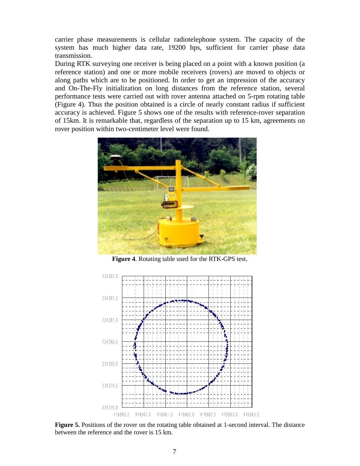carrier phase measurements is cellular radiotelephone system. The capacity of the system has much higher data rate, 19200 bps, sufficient for carrier phase data transmission.

During RTK surveying one receiver is being placed on a point with a known position (a reference station) and one or more mobile receivers (rovers) are moved to objects or along paths which are to be positioned. In order to get an impression of the accuracy and On-The-Fly initialization on long distances from the reference station, several performance tests were carried out with rover antenna attached on 5-rpm rotating table (Figure 4). Thus the position obtained is a circle of nearly constant radius if sufficient accuracy is achieved. Figure 5 shows one of the results with reference-rover separation of 15km. It is remarkable that, regardless of the separation up to 15 km, agreements on rover position within two-centimeter level were found.



**Figure 4**. Rotating table used for the RTK-GPS test.



**Figure 5.** Positions of the rover on the rotating table obtained at 1-second interval. The distance between the reference and the rover is 15 km.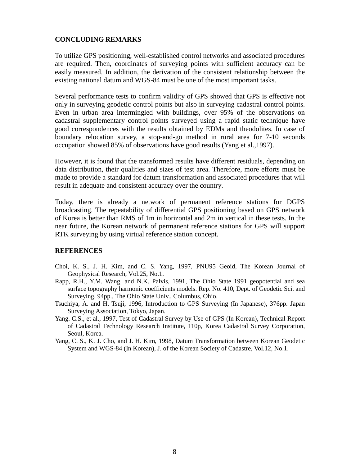## **CONCLUDING REMARKS**

To utilize GPS positioning, well-established control networks and associated procedures are required. Then, coordinates of surveying points with sufficient accuracy can be easily measured. In addition, the derivation of the consistent relationship between the existing national datum and WGS-84 must be one of the most important tasks.

Several performance tests to confirm validity of GPS showed that GPS is effective not only in surveying geodetic control points but also in surveying cadastral control points. Even in urban area intermingled with buildings, over 95% of the observations on cadastral supplementary control points surveyed using a rapid static technique have good correspondences with the results obtained by EDMs and theodolites. In case of boundary relocation survey, a stop-and-go method in rural area for 7-10 seconds occupation showed 85% of observations have good results (Yang et al.,1997).

However, it is found that the transformed results have different residuals, depending on data distribution, their qualities and sizes of test area. Therefore, more efforts must be made to provide a standard for datum transformation and associated procedures that will result in adequate and consistent accuracy over the country.

Today, there is already a network of permanent reference stations for DGPS broadcasting. The repeatability of differential GPS positioning based on GPS network of Korea is better than RMS of 1m in horizontal and 2m in vertical in these tests. In the near future, the Korean network of permanent reference stations for GPS will support RTK surveying by using virtual reference station concept.

#### **REFERENCES**

- Choi, K. S., J. H. Kim, and C. S. Yang, 1997, PNU95 Geoid, The Korean Journal of Geophysical Research, Vol.25, No.1.
- Rapp, R.H., Y.M. Wang, and N.K. Palvis, 1991, The Ohio State 1991 geopotential and sea surface topography harmonic coefficients models. Rep. No. 410, Dept. of Geodetic Sci. and Surveying, 94pp., The Ohio State Univ., Columbus, Ohio.
- Tsuchiya, A. and H. Tsuji, 1996, Introduction to GPS Surveying (In Japanese), 376pp. Japan Surveying Association, Tokyo, Japan.
- Yang. C.S., et al., 1997, Test of Cadastral Survey by Use of GPS (In Korean), Technical Report of Cadastral Technology Research Institute, 110p, Korea Cadastral Survey Corporation, Seoul, Korea.
- Yang, C. S., K. J. Cho, and J. H. Kim, 1998, Datum Transformation between Korean Geodetic System and WGS-84 (In Korean), J. of the Korean Society of Cadastre, Vol.12, No.1.